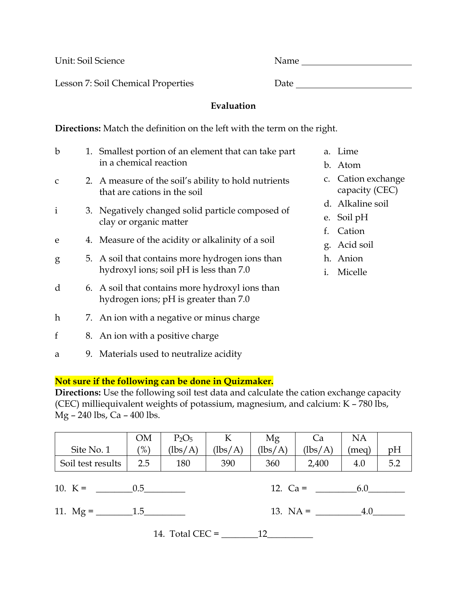Lesson 7: Soil Chemical Properties Date Date

Unit: Soil Science Name

## **Evaluation**

**Directions:** Match the definition on the left with the term on the right.

| b            |  | 1. Smallest portion of an element that can take part |    | a. Lime   |  |  |
|--------------|--|------------------------------------------------------|----|-----------|--|--|
|              |  | in a chemical reaction                               |    | b. Ator   |  |  |
| $\mathsf{C}$ |  | 2. A measure of the soil's ability to hold nutrients |    | c. Cation |  |  |
|              |  | that are cations in the soil                         |    |           |  |  |
| $\mathbf{i}$ |  | 3. Negatively changed solid particle composed of     |    |           |  |  |
|              |  | clay or organic matter                               |    |           |  |  |
|              |  |                                                      |    | f. Cation |  |  |
| e            |  | 4. Measure of the acidity or alkalinity of a soil    | g. | Acid      |  |  |
| g            |  | 5. A soil that contains more hydrogen ions than      |    | h. Anic   |  |  |
|              |  | hydroxyl ions; soil pH is less than 7.0              | 1. | Mice      |  |  |
| d            |  | 6. A soil that contains more hydroxyl ions than      |    |           |  |  |
|              |  | hydrogen ions; pH is greater than 7.0                |    |           |  |  |
| $\hbar$      |  | 7. An ion with a negative or minus charge            |    |           |  |  |
|              |  |                                                      |    |           |  |  |
| $\mathbf f$  |  | 8. An ion with a positive charge                     |    |           |  |  |
|              |  |                                                      |    |           |  |  |

a 9. Materials used to neutralize acidity

- e.
- $\mathbf n$
- on exchange icity (CEC)
- ıline soil
- $pH$
- on
- soil
- $\mathfrak m$
- i. Micelle

**Not sure if the following can be done in Quizmaker.** 

**Directions:** Use the following soil test data and calculate the cation exchange capacity (CEC) milliequivalent weights of potassium, magnesium, and calcium: K – 780 lbs, Mg – 240 lbs, Ca – 400 lbs.

| Site No. 1                                    | <b>OM</b><br>(%) | $P_2O_5$<br>(lbs/A) | K<br>(lbs/A) | Mg<br>$(\text{lbs/A})$ | Ca<br>(lbs/A) | <b>NA</b><br>(meq) | pH  |
|-----------------------------------------------|------------------|---------------------|--------------|------------------------|---------------|--------------------|-----|
| Soil test results                             | 2.5              | 180                 | 390          | 360                    | 2,400         | 4.0                | 5.2 |
| 10. K = $\qquad \qquad 0.5$<br>12. $Ca =$ 6.0 |                  |                     |              |                        |               |                    |     |
|                                               |                  |                     |              | 13. $NA = 4.0$         |               |                    |     |
| 14. Total CEC $=$<br>12                       |                  |                     |              |                        |               |                    |     |